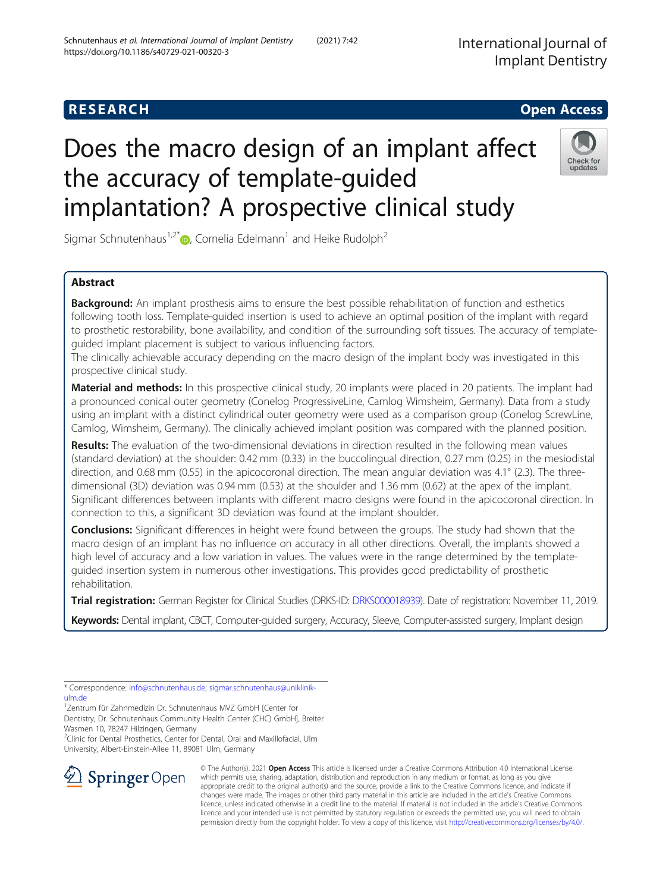# Does the macro design of an implant affect the accuracy of template-guided implantation? A prospective clinical study

Sigmar Schnutenhaus<sup>1,2\*</sup> $\bullet$ , Cornelia Edelmann<sup>1</sup> and Heike Rudolph<sup>2</sup>

# Abstract

**Background:** An implant prosthesis aims to ensure the best possible rehabilitation of function and esthetics following tooth loss. Template-guided insertion is used to achieve an optimal position of the implant with regard to prosthetic restorability, bone availability, and condition of the surrounding soft tissues. The accuracy of templateguided implant placement is subject to various influencing factors.

The clinically achievable accuracy depending on the macro design of the implant body was investigated in this prospective clinical study.

Material and methods: In this prospective clinical study, 20 implants were placed in 20 patients. The implant had a pronounced conical outer geometry (Conelog ProgressiveLine, Camlog Wimsheim, Germany). Data from a study using an implant with a distinct cylindrical outer geometry were used as a comparison group (Conelog ScrewLine, Camlog, Wimsheim, Germany). The clinically achieved implant position was compared with the planned position.

Results: The evaluation of the two-dimensional deviations in direction resulted in the following mean values (standard deviation) at the shoulder: 0.42 mm (0.33) in the buccolingual direction, 0.27 mm (0.25) in the mesiodistal direction, and 0.68 mm (0.55) in the apicocoronal direction. The mean angular deviation was 4.1° (2.3). The threedimensional (3D) deviation was 0.94 mm (0.53) at the shoulder and 1.36 mm (0.62) at the apex of the implant. Significant differences between implants with different macro designs were found in the apicocoronal direction. In connection to this, a significant 3D deviation was found at the implant shoulder.

**Conclusions:** Significant differences in height were found between the groups. The study had shown that the macro design of an implant has no influence on accuracy in all other directions. Overall, the implants showed a high level of accuracy and a low variation in values. The values were in the range determined by the templateguided insertion system in numerous other investigations. This provides good predictability of prosthetic rehabilitation.

Trial registration: German Register for Clinical Studies (DRKS-ID: [DRKS000018939\)](https://www.drks.de/drks_web/navigate.do?navigationId=trial.HTML&TRIAL_ID=DRKS00018939). Date of registration: November 11, 2019.

Keywords: Dental implant, CBCT, Computer-guided surgery, Accuracy, Sleeve, Computer-assisted surgery, Implant design

\* Correspondence: [info@schnutenhaus.de](mailto:info@schnutenhaus.de); [sigmar.schnutenhaus@uniklinik](mailto:sigmar.schnutenhaus@uniklinik-ulm.de)[ulm.de](mailto:sigmar.schnutenhaus@uniklinik-ulm.de)

1 Zentrum für Zahnmedizin Dr. Schnutenhaus MVZ GmbH [Center for Dentistry, Dr. Schnutenhaus Community Health Center (CHC) GmbH], Breiter

<sup>2</sup>Clinic for Dental Prosthetics, Center for Dental, Oral and Maxillofacial, Ulm

Wasmen 10, 78247 Hilzingen, Germany University, Albert-Einstein-Allee 11, 89081 Ulm, Germany



© The Author(s). 2021 Open Access This article is licensed under a Creative Commons Attribution 4.0 International License, which permits use, sharing, adaptation, distribution and reproduction in any medium or format, as long as you give appropriate credit to the original author(s) and the source, provide a link to the Creative Commons licence, and indicate if changes were made. The images or other third party material in this article are included in the article's Creative Commons licence, unless indicated otherwise in a credit line to the material. If material is not included in the article's Creative Commons licence and your intended use is not permitted by statutory regulation or exceeds the permitted use, you will need to obtain permission directly from the copyright holder. To view a copy of this licence, visit <http://creativecommons.org/licenses/by/4.0/>.

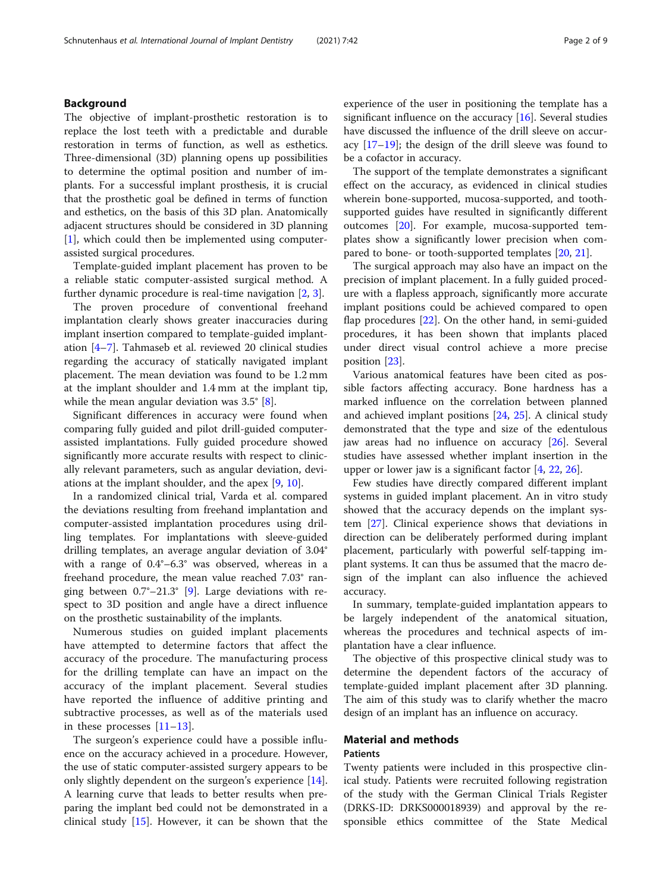## Background

The objective of implant-prosthetic restoration is to replace the lost teeth with a predictable and durable restoration in terms of function, as well as esthetics. Three-dimensional (3D) planning opens up possibilities to determine the optimal position and number of implants. For a successful implant prosthesis, it is crucial that the prosthetic goal be defined in terms of function and esthetics, on the basis of this 3D plan. Anatomically adjacent structures should be considered in 3D planning [[1\]](#page-7-0), which could then be implemented using computerassisted surgical procedures.

Template-guided implant placement has proven to be a reliable static computer-assisted surgical method. A further dynamic procedure is real-time navigation [\[2](#page-7-0), [3](#page-7-0)].

The proven procedure of conventional freehand implantation clearly shows greater inaccuracies during implant insertion compared to template-guided implantation [[4](#page-7-0)–[7\]](#page-7-0). Tahmaseb et al. reviewed 20 clinical studies regarding the accuracy of statically navigated implant placement. The mean deviation was found to be 1.2 mm at the implant shoulder and 1.4 mm at the implant tip, while the mean angular deviation was 3.5° [[8\]](#page-7-0).

Significant differences in accuracy were found when comparing fully guided and pilot drill-guided computerassisted implantations. Fully guided procedure showed significantly more accurate results with respect to clinically relevant parameters, such as angular deviation, deviations at the implant shoulder, and the apex [\[9,](#page-7-0) [10\]](#page-7-0).

In a randomized clinical trial, Varda et al. compared the deviations resulting from freehand implantation and computer-assisted implantation procedures using drilling templates. For implantations with sleeve-guided drilling templates, an average angular deviation of 3.04° with a range of 0.4°–6.3° was observed, whereas in a freehand procedure, the mean value reached 7.03° ranging between  $0.7^{\circ}-21.3^{\circ}$  [[9](#page-7-0)]. Large deviations with respect to 3D position and angle have a direct influence on the prosthetic sustainability of the implants.

Numerous studies on guided implant placements have attempted to determine factors that affect the accuracy of the procedure. The manufacturing process for the drilling template can have an impact on the accuracy of the implant placement. Several studies have reported the influence of additive printing and subtractive processes, as well as of the materials used in these processes [[11](#page-7-0)–[13\]](#page-7-0).

The surgeon's experience could have a possible influence on the accuracy achieved in a procedure. However, the use of static computer-assisted surgery appears to be only slightly dependent on the surgeon's experience [\[14](#page-8-0)]. A learning curve that leads to better results when preparing the implant bed could not be demonstrated in a clinical study [[15\]](#page-8-0). However, it can be shown that the experience of the user in positioning the template has a significant influence on the accuracy [\[16](#page-8-0)]. Several studies have discussed the influence of the drill sleeve on accuracy  $[17-19]$  $[17-19]$  $[17-19]$  $[17-19]$ ; the design of the drill sleeve was found to be a cofactor in accuracy.

The support of the template demonstrates a significant effect on the accuracy, as evidenced in clinical studies wherein bone-supported, mucosa-supported, and toothsupported guides have resulted in significantly different outcomes [[20](#page-8-0)]. For example, mucosa-supported templates show a significantly lower precision when compared to bone- or tooth-supported templates [[20,](#page-8-0) [21\]](#page-8-0).

The surgical approach may also have an impact on the precision of implant placement. In a fully guided procedure with a flapless approach, significantly more accurate implant positions could be achieved compared to open flap procedures [[22\]](#page-8-0). On the other hand, in semi-guided procedures, it has been shown that implants placed under direct visual control achieve a more precise position [[23\]](#page-8-0).

Various anatomical features have been cited as possible factors affecting accuracy. Bone hardness has a marked influence on the correlation between planned and achieved implant positions [\[24,](#page-8-0) [25](#page-8-0)]. A clinical study demonstrated that the type and size of the edentulous jaw areas had no influence on accuracy [\[26\]](#page-8-0). Several studies have assessed whether implant insertion in the upper or lower jaw is a significant factor [[4](#page-7-0), [22](#page-8-0), [26](#page-8-0)].

Few studies have directly compared different implant systems in guided implant placement. An in vitro study showed that the accuracy depends on the implant system [[27](#page-8-0)]. Clinical experience shows that deviations in direction can be deliberately performed during implant placement, particularly with powerful self-tapping implant systems. It can thus be assumed that the macro design of the implant can also influence the achieved accuracy.

In summary, template-guided implantation appears to be largely independent of the anatomical situation, whereas the procedures and technical aspects of implantation have a clear influence.

The objective of this prospective clinical study was to determine the dependent factors of the accuracy of template-guided implant placement after 3D planning. The aim of this study was to clarify whether the macro design of an implant has an influence on accuracy.

## Material and methods

## Patients

Twenty patients were included in this prospective clinical study. Patients were recruited following registration of the study with the German Clinical Trials Register (DRKS-ID: DRKS000018939) and approval by the responsible ethics committee of the State Medical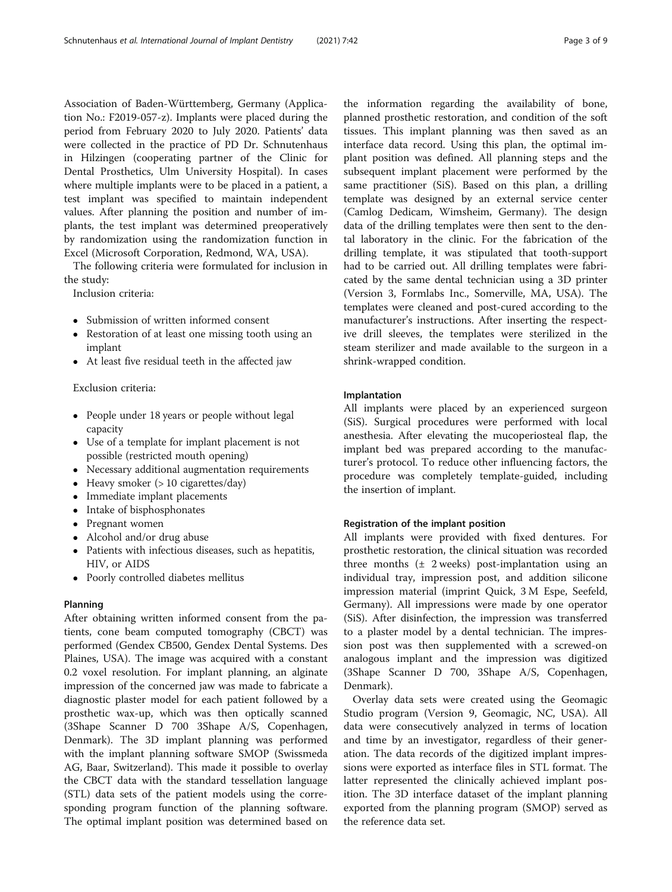Association of Baden-Württemberg, Germany (Application No.: F2019-057-z). Implants were placed during the period from February 2020 to July 2020. Patients' data were collected in the practice of PD Dr. Schnutenhaus in Hilzingen (cooperating partner of the Clinic for Dental Prosthetics, Ulm University Hospital). In cases where multiple implants were to be placed in a patient, a test implant was specified to maintain independent values. After planning the position and number of implants, the test implant was determined preoperatively by randomization using the randomization function in Excel (Microsoft Corporation, Redmond, WA, USA).

The following criteria were formulated for inclusion in the study:

Inclusion criteria:

- Submission of written informed consent
- Restoration of at least one missing tooth using an implant
- At least five residual teeth in the affected jaw

## Exclusion criteria:

- People under 18 years or people without legal capacity
- Use of a template for implant placement is not possible (restricted mouth opening)
- Necessary additional augmentation requirements
- Heavy smoker  $(>10$  cigarettes/day)
- Immediate implant placements
- Intake of bisphosphonates
- Pregnant women
- Alcohol and/or drug abuse
- Patients with infectious diseases, such as hepatitis, HIV, or AIDS
- Poorly controlled diabetes mellitus

## Planning

After obtaining written informed consent from the patients, cone beam computed tomography (CBCT) was performed (Gendex CB500, Gendex Dental Systems. Des Plaines, USA). The image was acquired with a constant 0.2 voxel resolution. For implant planning, an alginate impression of the concerned jaw was made to fabricate a diagnostic plaster model for each patient followed by a prosthetic wax-up, which was then optically scanned (3Shape Scanner D 700 3Shape A/S, Copenhagen, Denmark). The 3D implant planning was performed with the implant planning software SMOP (Swissmeda AG, Baar, Switzerland). This made it possible to overlay the CBCT data with the standard tessellation language (STL) data sets of the patient models using the corresponding program function of the planning software. The optimal implant position was determined based on

the information regarding the availability of bone, planned prosthetic restoration, and condition of the soft tissues. This implant planning was then saved as an interface data record. Using this plan, the optimal implant position was defined. All planning steps and the subsequent implant placement were performed by the same practitioner (SiS). Based on this plan, a drilling template was designed by an external service center (Camlog Dedicam, Wimsheim, Germany). The design data of the drilling templates were then sent to the dental laboratory in the clinic. For the fabrication of the drilling template, it was stipulated that tooth-support had to be carried out. All drilling templates were fabricated by the same dental technician using a 3D printer (Version 3, Formlabs Inc., Somerville, MA, USA). The templates were cleaned and post-cured according to the manufacturer's instructions. After inserting the respective drill sleeves, the templates were sterilized in the steam sterilizer and made available to the surgeon in a shrink-wrapped condition.

## Implantation

All implants were placed by an experienced surgeon (SiS). Surgical procedures were performed with local anesthesia. After elevating the mucoperiosteal flap, the implant bed was prepared according to the manufacturer's protocol. To reduce other influencing factors, the procedure was completely template-guided, including the insertion of implant.

## Registration of the implant position

All implants were provided with fixed dentures. For prosthetic restoration, the clinical situation was recorded three months  $(\pm 2$  weeks) post-implantation using an individual tray, impression post, and addition silicone impression material (imprint Quick, 3 M Espe, Seefeld, Germany). All impressions were made by one operator (SiS). After disinfection, the impression was transferred to a plaster model by a dental technician. The impression post was then supplemented with a screwed-on analogous implant and the impression was digitized (3Shape Scanner D 700, 3Shape A/S, Copenhagen, Denmark).

Overlay data sets were created using the Geomagic Studio program (Version 9, Geomagic, NC, USA). All data were consecutively analyzed in terms of location and time by an investigator, regardless of their generation. The data records of the digitized implant impressions were exported as interface files in STL format. The latter represented the clinically achieved implant position. The 3D interface dataset of the implant planning exported from the planning program (SMOP) served as the reference data set.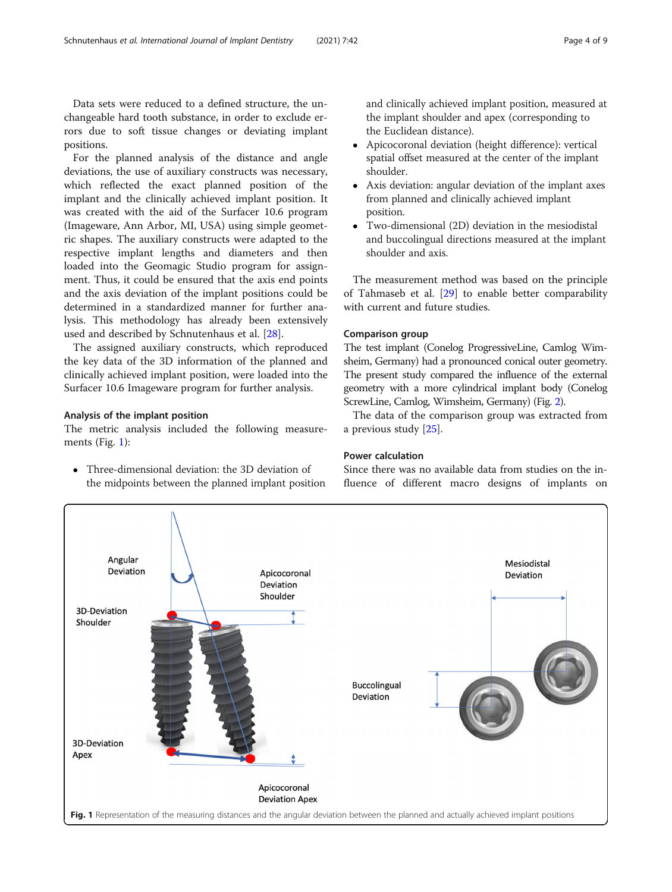Data sets were reduced to a defined structure, the unchangeable hard tooth substance, in order to exclude errors due to soft tissue changes or deviating implant positions.

For the planned analysis of the distance and angle deviations, the use of auxiliary constructs was necessary, which reflected the exact planned position of the implant and the clinically achieved implant position. It was created with the aid of the Surfacer 10.6 program (Imageware, Ann Arbor, MI, USA) using simple geometric shapes. The auxiliary constructs were adapted to the respective implant lengths and diameters and then loaded into the Geomagic Studio program for assignment. Thus, it could be ensured that the axis end points and the axis deviation of the implant positions could be determined in a standardized manner for further analysis. This methodology has already been extensively used and described by Schnutenhaus et al. [\[28](#page-8-0)].

The assigned auxiliary constructs, which reproduced the key data of the 3D information of the planned and clinically achieved implant position, were loaded into the Surfacer 10.6 Imageware program for further analysis.

## Analysis of the implant position

The metric analysis included the following measurements (Fig. 1):

 Three-dimensional deviation: the 3D deviation of the midpoints between the planned implant position and clinically achieved implant position, measured at the implant shoulder and apex (corresponding to the Euclidean distance).

- Apicocoronal deviation (height difference): vertical spatial offset measured at the center of the implant shoulder.
- Axis deviation: angular deviation of the implant axes from planned and clinically achieved implant position.
- Two-dimensional (2D) deviation in the mesiodistal and buccolingual directions measured at the implant shoulder and axis.

The measurement method was based on the principle of Tahmaseb et al. [[29\]](#page-8-0) to enable better comparability with current and future studies.

## Comparison group

The test implant (Conelog ProgressiveLine, Camlog Wimsheim, Germany) had a pronounced conical outer geometry. The present study compared the influence of the external geometry with a more cylindrical implant body (Conelog ScrewLine, Camlog, Wimsheim, Germany) (Fig. [2\)](#page-4-0).

The data of the comparison group was extracted from a previous study [[25](#page-8-0)].

## Power calculation

Since there was no available data from studies on the influence of different macro designs of implants on

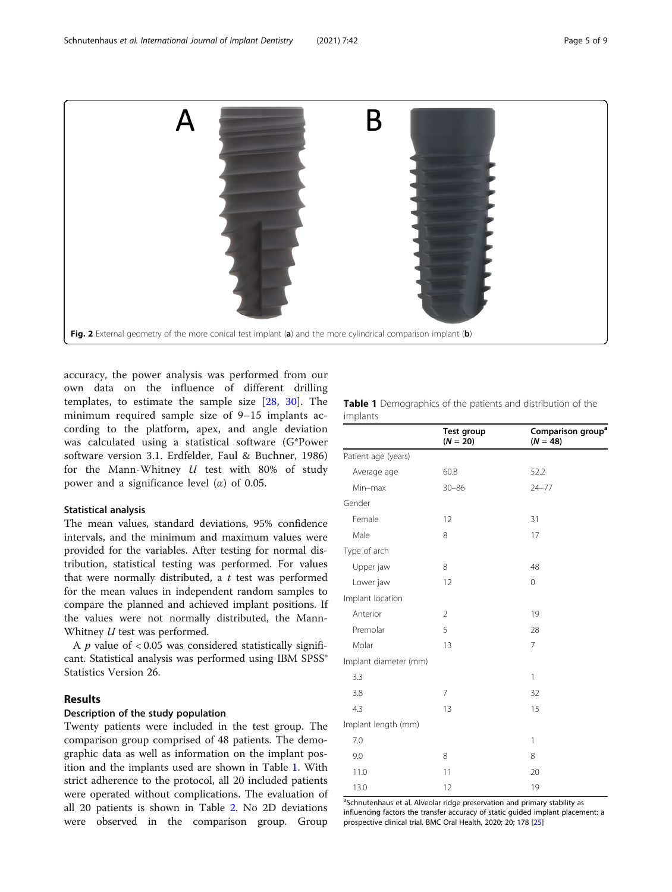<span id="page-4-0"></span>

accuracy, the power analysis was performed from our own data on the influence of different drilling templates, to estimate the sample size [[28,](#page-8-0) [30](#page-8-0)]. The minimum required sample size of 9–15 implants according to the platform, apex, and angle deviation was calculated using a statistical software (G\*Power software version 3.1. Erdfelder, Faul & Buchner, 1986) for the Mann-Whitney  $U$  test with 80% of study power and a significance level  $(\alpha)$  of 0.05.

#### Statistical analysis

The mean values, standard deviations, 95% confidence intervals, and the minimum and maximum values were provided for the variables. After testing for normal distribution, statistical testing was performed. For values that were normally distributed, a  $t$  test was performed for the mean values in independent random samples to compare the planned and achieved implant positions. If the values were not normally distributed, the Mann-Whitney *U* test was performed.

A  $p$  value of < 0.05 was considered statistically significant. Statistical analysis was performed using IBM SPSS® Statistics Version 26.

## Results

#### Description of the study population

Twenty patients were included in the test group. The comparison group comprised of 48 patients. The demographic data as well as information on the implant position and the implants used are shown in Table 1. With strict adherence to the protocol, all 20 included patients were operated without complications. The evaluation of all 20 patients is shown in Table [2.](#page-5-0) No 2D deviations were observed in the comparison group. Group Table 1 Demographics of the patients and distribution of the implants

|                       | <b>Test group</b><br>$(N = 20)$ | Comparison group <sup>a</sup><br>$(N = 48)$ |  |
|-----------------------|---------------------------------|---------------------------------------------|--|
| Patient age (years)   |                                 |                                             |  |
| Average age           | 60.8                            | 52.2                                        |  |
| Min-max               | $30 - 86$                       | $24 - 77$                                   |  |
| Gender                |                                 |                                             |  |
| Female                | 12                              | 31                                          |  |
| Male                  | 8                               | 17                                          |  |
| Type of arch          |                                 |                                             |  |
| Upper jaw             | 8                               | 48                                          |  |
| Lower jaw             | 12                              | 0                                           |  |
| Implant location      |                                 |                                             |  |
| Anterior              | $\overline{2}$                  | 19                                          |  |
| Premolar              | 5                               | 28                                          |  |
| Molar                 | 13                              | 7                                           |  |
| Implant diameter (mm) |                                 |                                             |  |
| 3.3                   |                                 | 1                                           |  |
| 3.8                   | 7                               | 32                                          |  |
| 4.3                   | 13                              | 15                                          |  |
| Implant length (mm)   |                                 |                                             |  |
| 7.0                   |                                 | $\mathbf{1}$                                |  |
| 9.0                   | 8                               | 8                                           |  |
| 11.0                  | 11                              | 20                                          |  |
| 13.0                  | 12                              | 19                                          |  |

<sup>a</sup>Schnutenhaus et al. Alveolar ridge preservation and primary stability as influencing factors the transfer accuracy of static guided implant placement: a prospective clinical trial. BMC Oral Health, 2020; 20; 178 [\[25](#page-8-0)]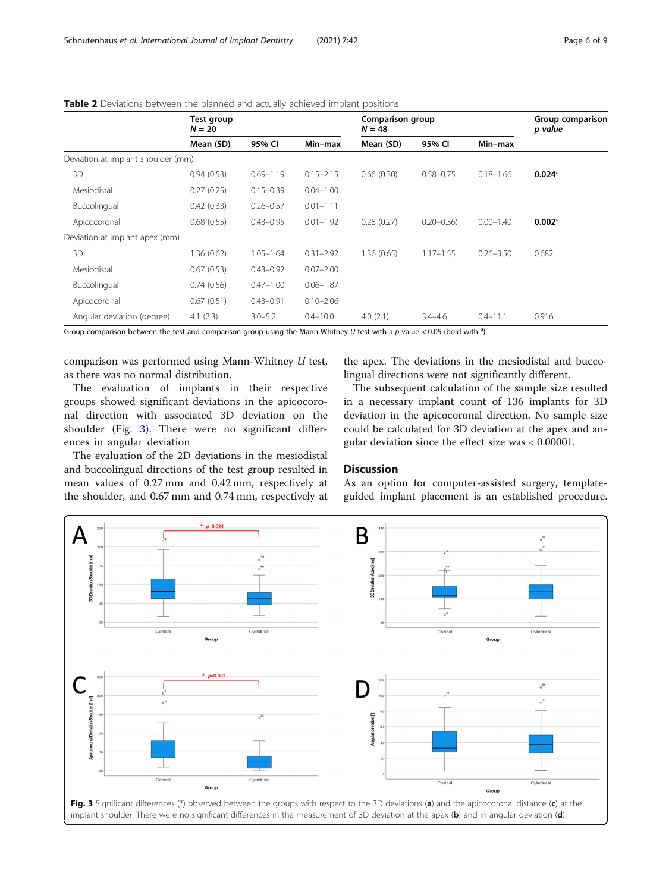|                                    | Test group<br>$N = 20$ |               | Comparison group<br>$N = 48$ |             | Group comparison<br>p value |               |                      |
|------------------------------------|------------------------|---------------|------------------------------|-------------|-----------------------------|---------------|----------------------|
|                                    | Mean (SD)              | 95% CI        | Min-max                      | Mean (SD)   | 95% CI                      | Min-max       |                      |
| Deviation at implant shoulder (mm) |                        |               |                              |             |                             |               |                      |
| 3D                                 | 0.94(0.53)             | $0.69 - 1.19$ | $0.15 - 2.15$                | 0.66(0.30)  | $0.58 - 0.75$               | $0.18 - 1.66$ | $0.024^{\circ}$      |
| Mesiodistal                        | 0.27(0.25)             | $0.15 - 0.39$ | $0.04 - 1.00$                |             |                             |               |                      |
| Buccolingual                       | 0.42(0.33)             | $0.26 - 0.57$ | $0.01 - 1.11$                |             |                             |               |                      |
| Apicocoronal                       | 0.68(0.55)             | $0.43 - 0.95$ | $0.01 - 1.92$                | 0.28(0.27)  | $0.20 - 0.36$               | $0.00 - 1.40$ | $0.002$ <sup>a</sup> |
| Deviation at implant apex (mm)     |                        |               |                              |             |                             |               |                      |
| 3D                                 | 1.36(0.62)             | $1.05 - 1.64$ | $0.31 - 2.92$                | 1.36 (0.65) | $1.17 - 1.55$               | $0.26 - 3.50$ | 0.682                |
| Mesiodistal                        | 0.67(0.53)             | $0.43 - 0.92$ | $0.07 - 2.00$                |             |                             |               |                      |
| Buccolingual                       | 0.74(0.56)             | $0.47 - 1.00$ | $0.06 - 1.87$                |             |                             |               |                      |
| Apicocoronal                       | 0.67(0.51)             | $0.43 - 0.91$ | $0.10 - 2.06$                |             |                             |               |                      |
| Angular deviation (degree)         | 4.1(2.3)               | $3.0 - 5.2$   | $0.4 - 10.0$                 | 4.0(2.1)    | $3.4 - 4.6$                 | $0.4 - 11.1$  | 0.916                |

<span id="page-5-0"></span>

| <b>Table 2</b> Deviations between the planned and actually achieved implant positions |  |  |  |
|---------------------------------------------------------------------------------------|--|--|--|
|---------------------------------------------------------------------------------------|--|--|--|

Group comparison between the test and comparison group using the Mann-Whitney U test with a p value < 0.05 (bold with <sup>a</sup>)

comparison was performed using Mann-Whitney U test, as there was no normal distribution.

The evaluation of implants in their respective groups showed significant deviations in the apicocoronal direction with associated 3D deviation on the shoulder (Fig. 3). There were no significant differences in angular deviation

The evaluation of the 2D deviations in the mesiodistal and buccolingual directions of the test group resulted in mean values of 0.27 mm and 0.42 mm, respectively at the shoulder, and 0.67 mm and 0.74 mm, respectively at

the apex. The deviations in the mesiodistal and buccolingual directions were not significantly different.

The subsequent calculation of the sample size resulted in a necessary implant count of 136 implants for 3D deviation in the apicocoronal direction. No sample size could be calculated for 3D deviation at the apex and angular deviation since the effect size was < 0.00001.

#### **Discussion**

As an option for computer-assisted surgery, templateguided implant placement is an established procedure.

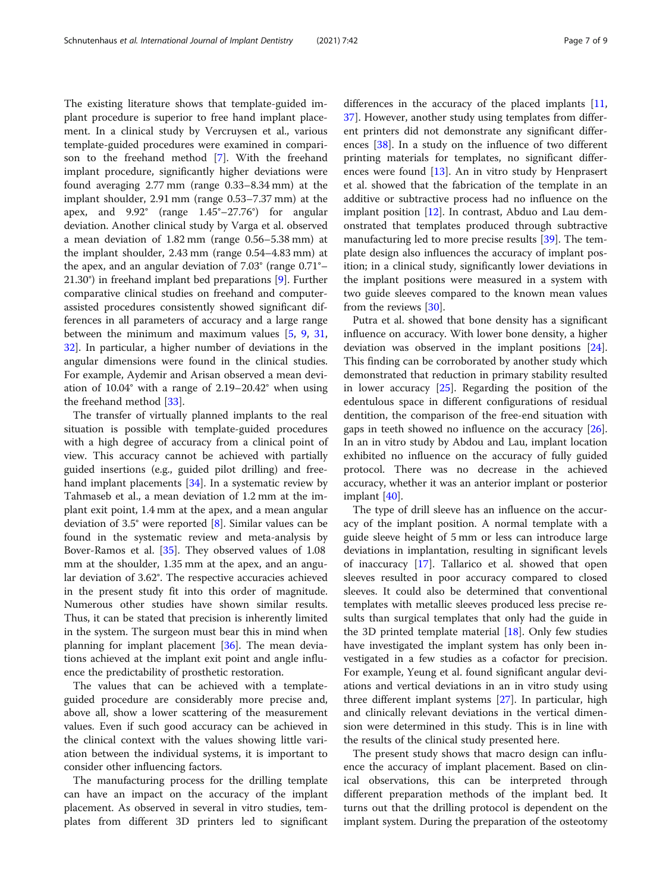The existing literature shows that template-guided implant procedure is superior to free hand implant placement. In a clinical study by Vercruysen et al., various template-guided procedures were examined in comparison to the freehand method [[7\]](#page-7-0). With the freehand implant procedure, significantly higher deviations were found averaging 2.77 mm (range 0.33–8.34 mm) at the implant shoulder, 2.91 mm (range 0.53–7.37 mm) at the apex, and 9.92° (range 1.45°–27.76°) for angular deviation. Another clinical study by Varga et al. observed a mean deviation of 1.82 mm (range 0.56–5.38 mm) at the implant shoulder, 2.43 mm (range 0.54–4.83 mm) at the apex, and an angular deviation of 7.03° (range 0.71°– 21.30°) in freehand implant bed preparations [[9\]](#page-7-0). Further comparative clinical studies on freehand and computerassisted procedures consistently showed significant differences in all parameters of accuracy and a large range between the minimum and maximum values [\[5](#page-7-0), [9,](#page-7-0) [31](#page-8-0), [32\]](#page-8-0). In particular, a higher number of deviations in the angular dimensions were found in the clinical studies. For example, Aydemir and Arisan observed a mean deviation of 10.04° with a range of 2.19–20.42° when using the freehand method [[33](#page-8-0)].

The transfer of virtually planned implants to the real situation is possible with template-guided procedures with a high degree of accuracy from a clinical point of view. This accuracy cannot be achieved with partially guided insertions (e.g., guided pilot drilling) and freehand implant placements [[34](#page-8-0)]. In a systematic review by Tahmaseb et al., a mean deviation of 1.2 mm at the implant exit point, 1.4 mm at the apex, and a mean angular deviation of 3.5° were reported [[8\]](#page-7-0). Similar values can be found in the systematic review and meta-analysis by Bover-Ramos et al. [[35](#page-8-0)]. They observed values of 1.08 mm at the shoulder, 1.35 mm at the apex, and an angular deviation of 3.62°. The respective accuracies achieved in the present study fit into this order of magnitude. Numerous other studies have shown similar results. Thus, it can be stated that precision is inherently limited in the system. The surgeon must bear this in mind when planning for implant placement [[36\]](#page-8-0). The mean deviations achieved at the implant exit point and angle influence the predictability of prosthetic restoration.

The values that can be achieved with a templateguided procedure are considerably more precise and, above all, show a lower scattering of the measurement values. Even if such good accuracy can be achieved in the clinical context with the values showing little variation between the individual systems, it is important to consider other influencing factors.

The manufacturing process for the drilling template can have an impact on the accuracy of the implant placement. As observed in several in vitro studies, templates from different 3D printers led to significant differences in the accuracy of the placed implants [[11](#page-7-0), [37\]](#page-8-0). However, another study using templates from different printers did not demonstrate any significant differences [\[38](#page-8-0)]. In a study on the influence of two different printing materials for templates, no significant differences were found [[13\]](#page-7-0). An in vitro study by Henprasert et al. showed that the fabrication of the template in an additive or subtractive process had no influence on the implant position [\[12](#page-7-0)]. In contrast, Abduo and Lau demonstrated that templates produced through subtractive manufacturing led to more precise results [\[39\]](#page-8-0). The template design also influences the accuracy of implant position; in a clinical study, significantly lower deviations in the implant positions were measured in a system with two guide sleeves compared to the known mean values from the reviews [[30](#page-8-0)].

Putra et al. showed that bone density has a significant influence on accuracy. With lower bone density, a higher deviation was observed in the implant positions [\[24](#page-8-0)]. This finding can be corroborated by another study which demonstrated that reduction in primary stability resulted in lower accuracy  $[25]$  $[25]$  $[25]$ . Regarding the position of the edentulous space in different configurations of residual dentition, the comparison of the free-end situation with gaps in teeth showed no influence on the accuracy [\[26](#page-8-0)]. In an in vitro study by Abdou and Lau, implant location exhibited no influence on the accuracy of fully guided protocol. There was no decrease in the achieved accuracy, whether it was an anterior implant or posterior implant [\[40](#page-8-0)].

The type of drill sleeve has an influence on the accuracy of the implant position. A normal template with a guide sleeve height of 5 mm or less can introduce large deviations in implantation, resulting in significant levels of inaccuracy [\[17](#page-8-0)]. Tallarico et al. showed that open sleeves resulted in poor accuracy compared to closed sleeves. It could also be determined that conventional templates with metallic sleeves produced less precise results than surgical templates that only had the guide in the 3D printed template material  $[18]$  $[18]$ . Only few studies have investigated the implant system has only been investigated in a few studies as a cofactor for precision. For example, Yeung et al. found significant angular deviations and vertical deviations in an in vitro study using three different implant systems [[27\]](#page-8-0). In particular, high and clinically relevant deviations in the vertical dimension were determined in this study. This is in line with the results of the clinical study presented here.

The present study shows that macro design can influence the accuracy of implant placement. Based on clinical observations, this can be interpreted through different preparation methods of the implant bed. It turns out that the drilling protocol is dependent on the implant system. During the preparation of the osteotomy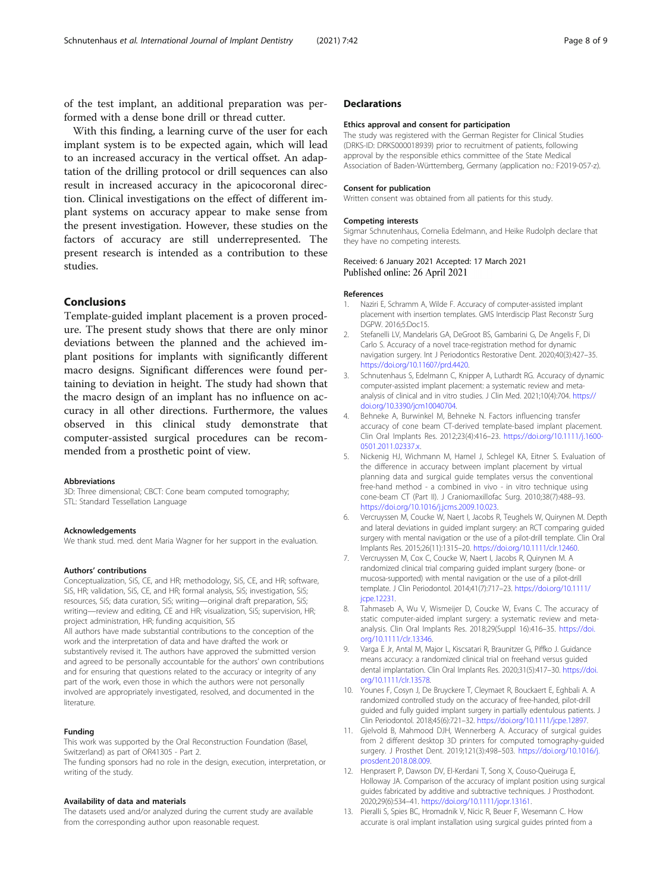<span id="page-7-0"></span>of the test implant, an additional preparation was performed with a dense bone drill or thread cutter.

With this finding, a learning curve of the user for each implant system is to be expected again, which will lead to an increased accuracy in the vertical offset. An adaptation of the drilling protocol or drill sequences can also result in increased accuracy in the apicocoronal direction. Clinical investigations on the effect of different implant systems on accuracy appear to make sense from the present investigation. However, these studies on the factors of accuracy are still underrepresented. The present research is intended as a contribution to these studies.

#### Conclusions

Template-guided implant placement is a proven procedure. The present study shows that there are only minor deviations between the planned and the achieved implant positions for implants with significantly different macro designs. Significant differences were found pertaining to deviation in height. The study had shown that the macro design of an implant has no influence on accuracy in all other directions. Furthermore, the values observed in this clinical study demonstrate that computer-assisted surgical procedures can be recommended from a prosthetic point of view.

#### Abbreviations

3D: Three dimensional; CBCT: Cone beam computed tomography; STL: Standard Tessellation Language

#### Acknowledgements

We thank stud. med. dent Maria Wagner for her support in the evaluation.

#### Authors' contributions

Conceptualization, SiS, CE, and HR; methodology, SiS, CE, and HR; software, SiS, HR; validation, SiS, CE, and HR; formal analysis, SiS; investigation, SiS; resources, SiS; data curation, SiS; writing—original draft preparation, SiS; writing—review and editing, CE and HR; visualization, SiS; supervision, HR; project administration, HR; funding acquisition, SiS All authors have made substantial contributions to the conception of the work and the interpretation of data and have drafted the work or substantively revised it. The authors have approved the submitted version and agreed to be personally accountable for the authors' own contributions and for ensuring that questions related to the accuracy or integrity of any part of the work, even those in which the authors were not personally involved are appropriately investigated, resolved, and documented in the

#### Funding

**literature** 

This work was supported by the Oral Reconstruction Foundation (Basel, Switzerland) as part of OR41305 - Part 2. The funding sponsors had no role in the design, execution, interpretation, or writing of the study.

#### Availability of data and materials

The datasets used and/or analyzed during the current study are available from the corresponding author upon reasonable request.

#### **Declarations**

#### Ethics approval and consent for participation

The study was registered with the German Register for Clinical Studies (DRKS-ID: DRKS000018939) prior to recruitment of patients, following approval by the responsible ethics committee of the State Medical Association of Baden-Württemberg, Germany (application no.: F2019-057-z).

#### Consent for publication

Written consent was obtained from all patients for this study.

#### Competing interests

Sigmar Schnutenhaus, Cornelia Edelmann, and Heike Rudolph declare that they have no competing interests.

#### Received: 6 January 2021 Accepted: 17 March 2021 Published online: 26 April 2021

#### References

- 1. Naziri E, Schramm A, Wilde F. Accuracy of computer-assisted implant placement with insertion templates. GMS Interdiscip Plast Reconstr Surg DGPW. 2016;5:Doc15.
- 2. Stefanelli LV, Mandelaris GA, DeGroot BS, Gambarini G, De Angelis F, Di Carlo S. Accuracy of a novel trace-registration method for dynamic navigation surgery. Int J Periodontics Restorative Dent. 2020;40(3):427–35. [https://doi.org/10.11607/prd.4420.](https://doi.org/10.11607/prd.4420)
- 3. Schnutenhaus S, Edelmann C, Knipper A, Luthardt RG. Accuracy of dynamic computer-assisted implant placement: a systematic review and metaanalysis of clinical and in vitro studies. J Clin Med. 2021;10(4):704. [https://](https://doi.org/10.3390/jcm10040704) [doi.org/10.3390/jcm10040704.](https://doi.org/10.3390/jcm10040704)
- 4. Behneke A, Burwinkel M, Behneke N. Factors influencing transfer accuracy of cone beam CT-derived template-based implant placement. Clin Oral Implants Res. 2012;23(4):416–23. [https://doi.org/10.1111/j.1600-](https://doi.org/10.1111/j.1600-0501.2011.02337.x) [0501.2011.02337.x](https://doi.org/10.1111/j.1600-0501.2011.02337.x).
- 5. Nickenig HJ, Wichmann M, Hamel J, Schlegel KA, Eitner S. Evaluation of the difference in accuracy between implant placement by virtual planning data and surgical guide templates versus the conventional free-hand method - a combined in vivo - in vitro technique using cone-beam CT (Part II). J Craniomaxillofac Surg. 2010;38(7):488–93. [https://doi.org/10.1016/j.jcms.2009.10.023.](https://doi.org/10.1016/j.jcms.2009.10.023)
- Vercruyssen M, Coucke W, Naert I, Jacobs R, Teughels W, Quirynen M. Depth and lateral deviations in guided implant surgery: an RCT comparing guided surgery with mental navigation or the use of a pilot-drill template. Clin Oral Implants Res. 2015;26(11):1315–20. [https://doi.org/10.1111/clr.12460.](https://doi.org/10.1111/clr.12460)
- 7. Vercruyssen M, Cox C, Coucke W, Naert I, Jacobs R, Quirynen M. A randomized clinical trial comparing guided implant surgery (bone- or mucosa-supported) with mental navigation or the use of a pilot-drill template. J Clin Periodontol. 2014;41(7):717–23. [https://doi.org/10.1111/](https://doi.org/10.1111/jcpe.12231) [jcpe.12231.](https://doi.org/10.1111/jcpe.12231)
- 8. Tahmaseb A, Wu V, Wismeijer D, Coucke W, Evans C. The accuracy of static computer-aided implant surgery: a systematic review and metaanalysis. Clin Oral Implants Res. 2018;29(Suppl 16):416–35. [https://doi.](https://doi.org/10.1111/clr.13346) [org/10.1111/clr.13346.](https://doi.org/10.1111/clr.13346)
- 9. Varga E Jr, Antal M, Major L, Kiscsatari R, Braunitzer G, Piffko J. Guidance means accuracy: a randomized clinical trial on freehand versus guided dental implantation. Clin Oral Implants Res. 2020;31(5):417–30. [https://doi.](https://doi.org/10.1111/clr.13578) [org/10.1111/clr.13578.](https://doi.org/10.1111/clr.13578)
- 10. Younes F, Cosyn J, De Bruyckere T, Cleymaet R, Bouckaert E, Eghbali A. A randomized controlled study on the accuracy of free-handed, pilot-drill guided and fully guided implant surgery in partially edentulous patients. J Clin Periodontol. 2018;45(6):721–32. <https://doi.org/10.1111/jcpe.12897>.
- 11. Gjelvold B, Mahmood DJH, Wennerberg A. Accuracy of surgical guides from 2 different desktop 3D printers for computed tomography-guided surgery. J Prosthet Dent. 2019;121(3):498–503. [https://doi.org/10.1016/j.](https://doi.org/10.1016/j.prosdent.2018.08.009) [prosdent.2018.08.009](https://doi.org/10.1016/j.prosdent.2018.08.009).
- 12. Henprasert P, Dawson DV, El-Kerdani T, Song X, Couso-Queiruga E, Holloway JA. Comparison of the accuracy of implant position using surgical guides fabricated by additive and subtractive techniques. J Prosthodont. 2020;29(6):534–41. <https://doi.org/10.1111/jopr.13161>.
- 13. Pieralli S, Spies BC, Hromadnik V, Nicic R, Beuer F, Wesemann C. How accurate is oral implant installation using surgical guides printed from a